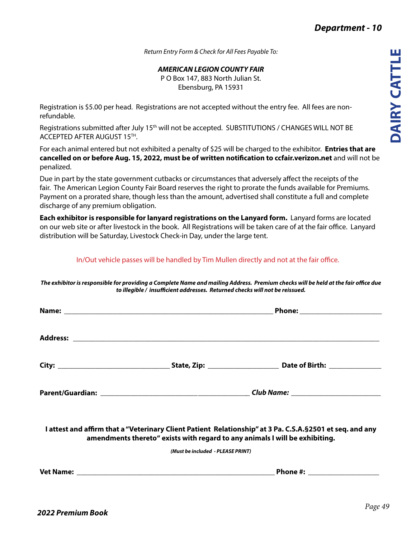*Return Entry Form & Check for All Fees Payable To:*

## *AMERICAN LEGION COUNTY FAIR*

P O Box 147, 883 North Julian St. Ebensburg, PA 15931

Registration is \$5.00 per head. Registrations are not accepted without the entry fee. All fees are nonrefundable.

Registrations submitted after July 15<sup>th</sup> will not be accepted. SUBSTITUTIONS / CHANGES WILL NOT BE ACCEPTED AFTER AUGUST 15TH.

For each animal entered but not exhibited a penalty of \$25 will be charged to the exhibitor. **Entries that are cancelled on or before Aug. 15, 2022, must be of written notification to ccfair.verizon.net** and will not be penalized.

Due in part by the state government cutbacks or circumstances that adversely affect the receipts of the fair. The American Legion County Fair Board reserves the right to prorate the funds available for Premiums. Payment on a prorated share, though less than the amount, advertised shall constitute a full and complete discharge of any premium obligation.

**Each exhibitor is responsible for lanyard registrations on the Lanyard form.** Lanyard forms are located on our web site or after livestock in the book. All Registrations will be taken care of at the fair office. Lanyard distribution will be Saturday, Livestock Check-in Day, under the large tent.

## In/Out vehicle passes will be handled by Tim Mullen directly and not at the fair office.

*The exhibitor is responsible for providing a Complete Name and mailing Address. Premium checks will be held at the fair office due to illegible / insufficient addresses. Returned checks will not be reissued.*

|                                                                             | Phone: ________________________                                                                            |  |
|-----------------------------------------------------------------------------|------------------------------------------------------------------------------------------------------------|--|
|                                                                             |                                                                                                            |  |
|                                                                             |                                                                                                            |  |
|                                                                             |                                                                                                            |  |
| amendments thereto" exists with regard to any animals I will be exhibiting. | I attest and affirm that a "Veterinary Client Patient Relationship" at 3 Pa. C.S.A. § 2501 et seq. and any |  |
| (Must be included - PLEASE PRINT)                                           |                                                                                                            |  |
|                                                                             | Phone #: ____________________                                                                              |  |
|                                                                             |                                                                                                            |  |